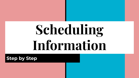# **Scheduling Information**

**Step by Step**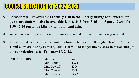# COURSE SELECTION for 2022-2023

- ❖ Counselors will be available **February 11th in the Library during both lunches for questions. Staff will also be available 2/14 & 2/15 from 3:45 - 4:45 pm and 2/16 from 1:30 - 2:30 pm in the Library for additional help.**
- ❖ We will receive copies of your responses and schedule classes based on your input.
- ❖ You may make edits to your submission from February 10th through February 16th. All submissions are **due** by February 16th. **You will no longer have access to make changes to your selections after February 16, 2022.**

| <b>COUNSELORS:</b> | Ms. Price       | $A-Di$ |
|--------------------|-----------------|--------|
|                    | Mrs. Clark      | $Do-J$ |
|                    | Mrs. Ozeroff    | $K-N$  |
|                    | Mrs. Cramer     | $O-Sa$ |
|                    | Ms. Straessler: | $Sc-Z$ |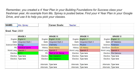*Remember, you created a 4 Year Plan in your Building Foundations for Success class your freshman year. An example from Ms. Spivey is posted below. Find your 4 Year Plan in your Google Drive, and use it to help you pick your classes.*

| <b>NAME:</b>            | Mrs. Spivey             |                       | <b>Career Goals:</b>          | Teacher               |                         |                       |                        |
|-------------------------|-------------------------|-----------------------|-------------------------------|-----------------------|-------------------------|-----------------------|------------------------|
| <b>Grad. Year: 2023</b> |                         |                       |                               |                       |                         |                       |                        |
|                         | <b>GRADE 9</b>          |                       | <b>GRADE 10</b>               |                       | <b>GRADE 11</b>         |                       | <b>GRADE 12</b>        |
|                         | English: English 9      |                       | English: English 10 (H)       |                       | English: English 11     |                       | English: English 12    |
|                         | Math: Integrated Math I |                       | Math: Integrated Math 2       |                       | Math: Integrated Math 3 |                       | Math: AP Statistics    |
| Science/Other Biology   |                         |                       | Science: Chemistry            |                       | Science: Physics        |                       | Science: Forensics     |
|                         | PE: Individual sports   |                       | <b>History: World History</b> |                       | History: US History     | Gov/Econ: Gov/Econ    |                        |
| World Lang: Spanish 1   |                         | World Lang: Spanish 2 |                               | World Lang: Spanish 3 |                         | World Lang: Spanish 4 |                        |
| Elective: BFFS          |                         |                       | PE: Team or Int. Dance        |                       | Elective: Type here     |                       | Elective: Pre Calculus |
|                         | Elective: Type here     |                       | Elective: Peer Mediation      |                       | Elective: Type here     |                       | Elective: Type here    |
|                         | Elective: Type here     |                       | Elective: Peer Mediation      |                       | Elective: Type here     |                       | Elective: Type here    |
|                         |                         |                       | Alternate: Type here          |                       | Alternate: Type here    |                       | Alternate: Type here   |
|                         |                         |                       | Alternate: Type here          |                       | Alternate: Type here    |                       | Alternate: Type here   |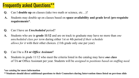### Frequently asked Questions\*\*

- **Q.** Can I **double up** on classes (take two math or science, etc…)?
- **A.** Students may double up on classes based on **space availability and grade level /pre-requisite requirements\***.
- **Q.** Can I have an *Unscheduled* period?
- **A.** Students who are in **grade 11/12** and are on track to graduate may have no more than *one unscheduled class per term* during either 1st or 4th period *if their schedule allows for it* with their other choices. (11th grade only one per year)

#### **Q.** Can I be a *TA* **or** *Office Assistant*?

**A.** Students in grade 11/12 who meet the criteria listed in the catalog may have *one class* of TA **or** Office Assistant per year. Students will be *assigned to positions based on staffing need.* 

**\*see catalog for more information**

**\*\*Students should direct additional questions to their Counselors during Intervention times listed on previous slide**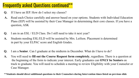### Frequently asked Questions continued\*\*

- **Q.** If I have an IEP. How do I select my classes?
- **A.** Read each Choice carefully and answer based on your options. Students with Individual Education Plans (IEP) will be assisted by their Case Manager in determining their core classes. If you have a question, ASK
- **Q.** I am in an ESL / ELD Class. Do I still need to take it next year?
- **A.** Students needing ESL/ELD will be assisted by Mrs. Leifson. Placement is determined in part by your ELPAC score and English Grades.
- **Q.** I am a **Senior**. Can I graduate at the midterm in December. What do I have to do?
- **A.** You will need to **fill out the Course Request form completely**, regardless. There is a question at the beginning of the form to indicate your interest. Early graduates can **ONLY be Seniors** on track to graduate. You will need to schedule a meeting to review Eligibility with your Counselor or Case Manager.

**\*\*Students should direct additional questions to their Counselors during Intervention times listed on previous slide**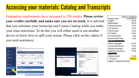# Accessing your materials: Catalog and Transcripts

Graduation requirements have increased to 250 credits. **Please review your credits carefully and make sure you are on track.** It is advised that you reference your transcript and Course Catalog while you make your class selections. To do this you will either need to use another device or know how to split your screen. Please click on the videos if you need assistance:

| <b>Aeries</b> Student<br>m        | River City High School - Grade 12       | $\vee$                  |                                |
|-----------------------------------|-----------------------------------------|-------------------------|--------------------------------|
|                                   | Transcripts                             |                         |                                |
| < Grades                          |                                         |                         |                                |
| Gradebook                         | <b>Graduation Track</b>                 | Graduated               | <b>Grad Stat</b>               |
|                                   | Default                                 |                         |                                |
| <b>Gradebook Details</b>          |                                         | Comment                 |                                |
| <b>Grades</b>                     | (W) Total GPA                           | (W) 10-12 GPA           | Credit Att/Compl               |
| <b>Graduation Status</b>          |                                         |                         | 260.00                         |
|                                   | <b>Course History</b>                   |                         |                                |
| Transcripts                       |                                         |                         |                                |
|                                   | Sort by Subject Sort by Date Descending |                         |                                |
| Standards Based Prod<br>Dashboard | 2014-2015   Riverbank 6-8               |                         |                                |
|                                   | Schl<br>Year<br>Tm Grd Crs ID           | <b>Std Course Title</b> | Comp<br>RT CP N/H Mark<br>Atmo |
|                                   | 2014-2015<br>20<br>A.                   |                         |                                |



| <b>Subject Area</b>         | <b>CREDIT SUMMARY</b><br>Credit Reg'd |
|-----------------------------|---------------------------------------|
| English                     | 40.00                                 |
| <b>Mathematics</b>          | 30.00                                 |
| <b>Physical Science</b>     | 10.00                                 |
| Life Science                | 10.00                                 |
| <b>World History</b>        | 10.00                                 |
| <b>US History</b>           | 10.00                                 |
| <b>US Government</b>        | 5.00                                  |
| <b>Economics/Sr Prob</b>    | 5.00                                  |
|                             |                                       |
| <b>World Languages</b>      | 20.00                                 |
| Visual & Performing         | 10.00                                 |
| <b>Physical Education</b>   | 20.00                                 |
| <b>Building Foundations</b> | 10.00                                 |
| <b>Chivers CV</b>           |                                       |
| <b>Elective Credit</b>      | 70.00                                 |
| * TOTALS *                  | 250.00                                |
| Algebra 1 Requirement Met   |                                       |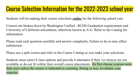### Course Selection Information for the 2022-2023 school year

Students will be making their course selections *online* for the following school year.

Courses are broken down by Washington Unified - RCHS Graduation requirements and University of California articulation, otherwise known as A-G. Refer to the Catalog for information.

Please read each question carefully and answer completely. Failure to do so may affect submission.

Please use a split screen and refer to the Course Catalog as you make your selections.

Students must select 8 class options and provide 6 alternates if their 1st choices are not available or do not fit within their overall course placements. Do Not choose courses more than once unless the course is indicated as yearlong. Doing so may invalidate your requests.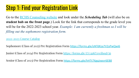# Step 1: Find your Registration Link

Go to the [RCHS Counseling website](https://rivercity.wusd.k12.ca.us/Our-School/Counseling/index.html) and look under the *Scheduling Tab* (will also be on **student hub on the front page**.) Look for the link that corresponds to the grade level you will be for the 2022-2023 school year. *Example: I am currently a freshman so I will be filling out the sophomore registration form.*

#### [2022-2023 Course Catalog](https://rivercity.wusd.k12.ca.us/documents/Counseling%20documents/2022_2023-Course-Catalog-2.pdf)

Sophomore (Class of 2025) Pre Registration Form <https://forms.gle/oNTdKza7V2yPwQwi6>

Junior (Class of 2024) Pre Registration Form<https://forms.gle/LY33pKY1veihoqV56>

Senior (Class of 2023) Pre Registration Form <https://forms.gle/hHTt7XgqJxwvr6EB8>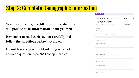# Step 2: Complete Demographic Information

When you first begin to fill out your registration you will provide **basic information about yourself**.

Remember to **read each section carefully** and **follow the directions** before moving on.

**Do not leave a question blank**. If you cannot answer a question, type NA (not applicable).

#### Section 1 of 12

Junior (Class of 2024) Course Selection Form This information will be used to schedule your classes for the 2022-2023 school Email\* Valid email This form is collecting emails. Change settings Current School Short answer text First Name \* Short answer text Last Name \* Short answer text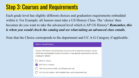# Step 3: Courses and Requirements

Each grade level has slightly different choices and graduation requirements embedded within it. For Example: all Juniors must take a US History Class. The 'choice' then becomes do you want to take the advanced level which is AP US History? *Remember, this is when you would check the catalog and see what taking an advanced class entails.*

Note that the Choice corresponds to the department and UC A-G Category if applicable.

#### **History / Social Science**

Choice 1 (A) History / Social Science: Courses with an asterisk indicate a course which has a prerequisite, is part of a series, or has special requirements. See the Catalog for details. \*

- 0825 U.S. History
- 0816 \*AP U.S. History
- 1003 \*Social Science Skills per IEP placement only
- 1012 \*ILS Soc Studies Self Contained Class per IEP placement only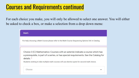### Courses and Requirements continued

For each choice you make, you will only be allowed to select one answer. You will either be asked to check a box, or make a selection from a drop down menu:

| Math                                                                                                                                                                                             |  |
|--------------------------------------------------------------------------------------------------------------------------------------------------------------------------------------------------|--|
| For help choosing a Math Course please refer to the Math Course Sequencing Options link in Catalog.                                                                                              |  |
| Choice 3 (C) Mathematics: Courses with an asterisk indicate a course which has<br>a prerequisite, is part of a series, or has special requirements. See the Catalog for<br>details. <sup>*</sup> |  |
|                                                                                                                                                                                                  |  |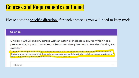### Courses and Requirements continued

Please note the <u>specific directions</u> for each choice as you will need to keep track..

#### Science

Choice 4 (D) Science: Courses with an asterisk indicate a course which has a prerequisite, is part of a series, or has special requirements. See the Catalog for  $details.$ 

Students wishing to take multiple science courses will use elective spots for second science choice. Students who have completed their science requirement and do not wish to take science must select " have completed my Science Requirement" in the dropdown.

Choose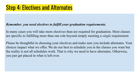#### *Remember*, *you need electives to fulfill your graduation requirements.*

In many cases you will take more electives than are required for graduation. Most classes are specific to fulfilling more than one role beyond simply meeting a *single* requirement.

Please be thoughtful in choosing your electives and make sure you include alternates. Your choices impact what we offer. We do our best to schedule you in the classes you want but the reality is not all schedules work. That is why we need to have alternates. Otherwise, you just get placed in what is left over.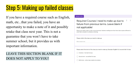# Step 5: Making up failed classes

If you have a required course such as English, math, etc...that you failed, you have an opportunity to make a note of it and possibly retake that class next year. This is not a guarantee that you won't have to take summer school, but it provides us with important information.

#### LEAVE THIS SECTION BLANK IF IT DOES NOT APPLY TO YOU!

#### Section 3 of 4

#### Required Courses I need to make up due to failure from previous terms. Leave blank if not applicable!

Please use a split screen to refer to your transcript. Students needing more than three class repeats will need to email their counselor to schedule a meeting

Please write in the class you need to make up:

Short answer text

Please select the term of the class you need to make up. Example: English 10.2 second half of class

First term - first half of class

Second term - second half of class

Both terms - entire class needs to be retaken